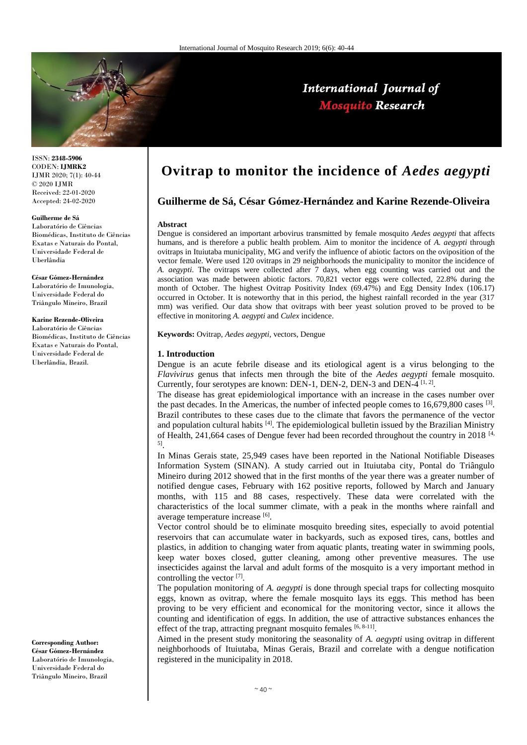

ISSN: **2348-5906** CODEN: **IJMRK2** IJMR 2020; 7(1): 40-44 © 2020 IJMR Received: 22-01-2020 Accepted: 24-02-2020

#### **Guilherme de Sá**

Laboratório de Ciências Biomédicas, Instituto de Ciências Exatas e Naturais do Pontal, Universidade Federal de Uberlândia

**César Gómez-Hernández** Laboratório de Imunologia, Universidade Federal do Triângulo Mineiro, Brazil

## **Karine Rezende-Oliveira**

Laboratório de Ciências Biomédicas, Instituto de Ciências Exatas e Naturais do Pontal, Universidade Federal de Uberlândia, Brazil.

**Corresponding Author: César Gómez-Hernández** Laboratório de Imunologia, Universidade Federal do Triângulo Mineiro, Brazil

# **Ovitrap to monitor the incidence of** *Aedes aegypti*

International Journal of **Mosquito Research** 

# **Guilherme de Sá, César Gómez-Hernández and Karine Rezende-Oliveira**

#### **Abstract**

Dengue is considered an important arbovirus transmitted by female mosquito *Aedes aegypti* that affects humans, and is therefore a public health problem. Aim to monitor the incidence of *A. aegypti* through ovitraps in Ituiutaba municipality, MG and verify the influence of abiotic factors on the oviposition of the vector female. Were used 120 ovitraps in 29 neighborhoods the municipality to monitor the incidence of *A. aegypti*. The ovitraps were collected after 7 days, when egg counting was carried out and the association was made between abiotic factors. 70,821 vector eggs were collected, 22.8% during the month of October. The highest Ovitrap Positivity Index (69.47%) and Egg Density Index (106.17) occurred in October. It is noteworthy that in this period, the highest rainfall recorded in the year (317 mm) was verified. Our data show that ovitraps with beer yeast solution proved to be proved to be effective in monitoring *A. aegypti* and *Culex* incidence.

**Keywords:** Ovitrap, *Aedes aegypti,* vectors, Dengue

#### **1. Introduction**

Dengue is an acute febrile disease and its etiological agent is a virus belonging to the *Flavivirus* genus that infects men through the bite of the *Aedes aegypti* female mosquito. Currently, four serotypes are known: DEN-1, DEN-2, DEN-3 and DEN-4  $^{[1, 2]}$ .

The disease has great epidemiological importance with an increase in the cases number over the past decades. In the Americas, the number of infected people comes to  $16,679,800$  cases  $^{[3]}$ . Brazil contributes to these cases due to the climate that favors the permanence of the vector and population cultural habits  $^{[4]}$ . The epidemiological bulletin issued by the Brazilian Ministry of Health, 241,664 cases of Dengue fever had been recorded throughout the country in 2018<sup>[4,]</sup> 5] .

In Minas Gerais state, 25,949 cases have been reported in the National Notifiable Diseases Information System (SINAN). A study carried out in Ituiutaba city, Pontal do Triângulo Mineiro during 2012 showed that in the first months of the year there was a greater number of notified dengue cases, February with 162 positive reports, followed by March and January months, with 115 and 88 cases, respectively. These data were correlated with the characteristics of the local summer climate, with a peak in the months where rainfall and average temperature increase [6].

Vector control should be to eliminate mosquito breeding sites, especially to avoid potential reservoirs that can accumulate water in backyards, such as exposed tires, cans, bottles and plastics, in addition to changing water from aquatic plants, treating water in swimming pools, keep water boxes closed, gutter cleaning, among other preventive measures. The use insecticides against the larval and adult forms of the mosquito is a very important method in controlling the vector  $^{[7]}$ .

The population monitoring of *A. aegypti* is done through special traps for collecting mosquito eggs, known as ovitrap, where the female mosquito lays its eggs. This method has been proving to be very efficient and economical for the monitoring vector, since it allows the counting and identification of eggs. In addition, the use of attractive substances enhances the effect of the trap, attracting pregnant mosquito females [6, 8-11].

Aimed in the present study monitoring the seasonality of *A. aegypti* using ovitrap in different neighborhoods of Ituiutaba, Minas Gerais, Brazil and correlate with a dengue notification registered in the municipality in 2018.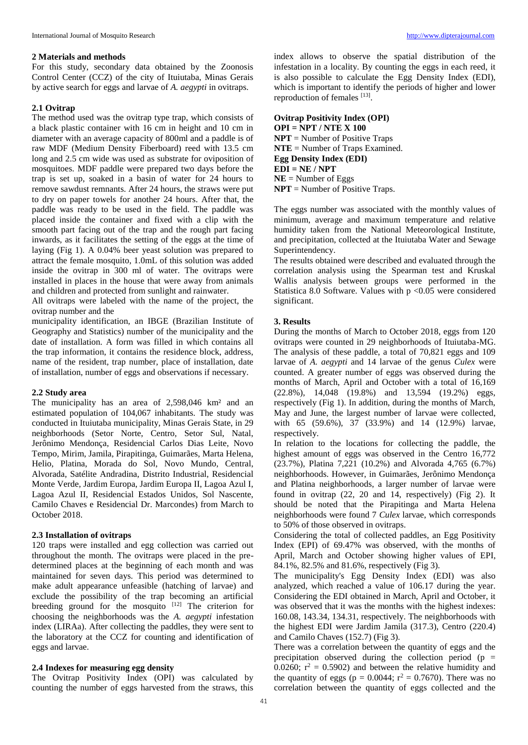## **2 Materials and methods**

For this study, secondary data obtained by the Zoonosis Control Center (CCZ) of the city of Ituiutaba, Minas Gerais by active search for eggs and larvae of *A. aegypti* in ovitraps.

# **2.1 Ovitrap**

The method used was the ovitrap type trap, which consists of a black plastic container with 16 cm in height and 10 cm in diameter with an average capacity of 800ml and a paddle is of raw MDF (Medium Density Fiberboard) reed with 13.5 cm long and 2.5 cm wide was used as substrate for oviposition of mosquitoes. MDF paddle were prepared two days before the trap is set up, soaked in a basin of water for 24 hours to remove sawdust remnants. After 24 hours, the straws were put to dry on paper towels for another 24 hours. After that, the paddle was ready to be used in the field. The paddle was placed inside the container and fixed with a clip with the smooth part facing out of the trap and the rough part facing inwards, as it facilitates the setting of the eggs at the time of laying (Fig 1). A 0.04% beer yeast solution was prepared to attract the female mosquito, 1.0mL of this solution was added inside the ovitrap in 300 ml of water. The ovitraps were installed in places in the house that were away from animals and children and protected from sunlight and rainwater.

All ovitraps were labeled with the name of the project, the ovitrap number and the

municipality identification, an IBGE (Brazilian Institute of Geography and Statistics) number of the municipality and the date of installation. A form was filled in which contains all the trap information, it contains the residence block, address, name of the resident, trap number, place of installation, date of installation, number of eggs and observations if necessary.

# **2.2 Study area**

The municipality has an area of 2,598,046 km² and an estimated population of 104,067 inhabitants. The study was conducted in Ituiutaba municipality, Minas Gerais State, in 29 neighborhoods (Setor Norte, Centro, Setor Sul, Natal, Jerônimo Mendonça, Residencial Carlos Dias Leite, Novo Tempo, Mirim, Jamila, Pirapitinga, Guimarães, Marta Helena, Helio, Platina, Morada do Sol, Novo Mundo, Central, Alvorada, Satélite Andradina, Distrito Industrial, Residencial Monte Verde, Jardim Europa, Jardim Europa II, Lagoa Azul I, Lagoa Azul II, Residencial Estados Unidos, Sol Nascente, Camilo Chaves e Residencial Dr. Marcondes) from March to October 2018.

## **2.3 Installation of ovitraps**

120 traps were installed and egg collection was carried out throughout the month. The ovitraps were placed in the predetermined places at the beginning of each month and was maintained for seven days. This period was determined to make adult appearance unfeasible (hatching of larvae) and exclude the possibility of the trap becoming an artificial breeding ground for the mosquito [12] The criterion for choosing the neighborhoods was the *A. aegypti* infestation index (LIRAa). After collecting the paddles, they were sent to the laboratory at the CCZ for counting and identification of eggs and larvae.

## **2.4 Indexes for measuring egg density**

The Ovitrap Positivity Index (OPI) was calculated by counting the number of eggs harvested from the straws, this

index allows to observe the spatial distribution of the infestation in a locality. By counting the eggs in each reed, it is also possible to calculate the Egg Density Index (EDI), which is important to identify the periods of higher and lower reproduction of females [13].

**Ovitrap Positivity Index (OPI) OPI = NPT / NTE X 100 NPT** = Number of Positive Traps **NTE** = Number of Traps Examined. **Egg Density Index (EDI) EDI = NE / NPT**  $NE =$  Number of Eggs **NPT** = Number of Positive Traps.

The eggs number was associated with the monthly values of minimum, average and maximum temperature and relative humidity taken from the National Meteorological Institute, and precipitation, collected at the Ituiutaba Water and Sewage Superintendency.

The results obtained were described and evaluated through the correlation analysis using the Spearman test and Kruskal Wallis analysis between groups were performed in the Statistica 8.0 Software. Values with  $p \le 0.05$  were considered significant.

## **3. Results**

During the months of March to October 2018, eggs from 120 ovitraps were counted in 29 neighborhoods of Ituiutaba-MG. The analysis of these paddle, a total of 70,821 eggs and 109 larvae of *A. aegypti* and 14 larvae of the genus *Culex* were counted. A greater number of eggs was observed during the months of March, April and October with a total of 16,169 (22.8%), 14,048 (19.8%) and 13,594 (19.2%) eggs, respectively (Fig 1). In addition, during the months of March, May and June, the largest number of larvae were collected, with 65 (59.6%), 37 (33.9%) and 14 (12.9%) larvae, respectively.

In relation to the locations for collecting the paddle, the highest amount of eggs was observed in the Centro 16,772 (23.7%), Platina 7,221 (10.2%) and Alvorada 4,765 (6.7%) neighborhoods. However, in Guimarães, Jerônimo Mendonça and Platina neighborhoods, a larger number of larvae were found in ovitrap (22, 20 and 14, respectively) (Fig 2). It should be noted that the Pirapitinga and Marta Helena neighborhoods were found 7 *Culex* larvae, which corresponds to 50% of those observed in ovitraps.

Considering the total of collected paddles, an Egg Positivity Index (EPI) of 69.47% was observed, with the months of April, March and October showing higher values of EPI, 84.1%, 82.5% and 81.6%, respectively (Fig 3).

The municipality's Egg Density Index (EDI) was also analyzed, which reached a value of 106.17 during the year. Considering the EDI obtained in March, April and October, it was observed that it was the months with the highest indexes: 160.08, 143.34, 134.31, respectively. The neighborhoods with the highest EDI were Jardim Jamila (317.3), Centro (220.4) and Camilo Chaves (152.7) (Fig 3).

There was a correlation between the quantity of eggs and the precipitation observed during the collection period ( $p =$ 0.0260;  $r^2 = 0.5902$ ) and between the relative humidity and the quantity of eggs ( $p = 0.0044$ ;  $r^2 = 0.7670$ ). There was no correlation between the quantity of eggs collected and the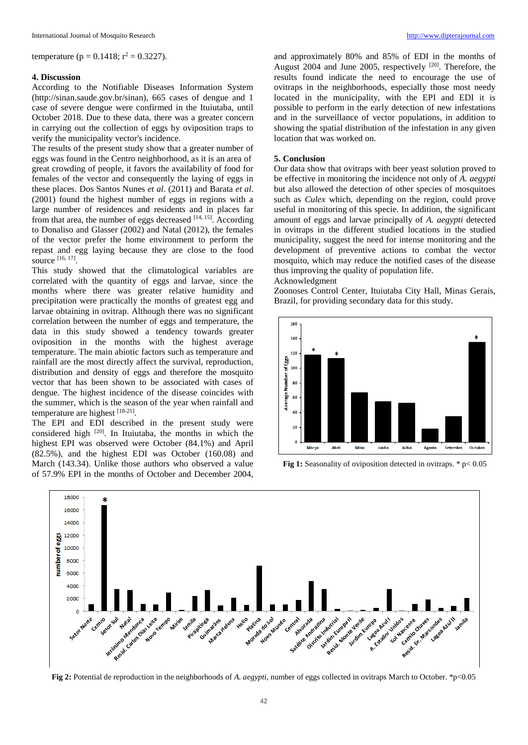temperature (p = 0.1418;  $r^2 = 0.3227$ ).

### **4. Discussion**

According to the Notifiable Diseases Information System (http://sinan.saude.gov.br/sinan), 665 cases of dengue and 1 case of severe dengue were confirmed in the Ituiutaba, until October 2018. Due to these data, there was a greater concern in carrying out the collection of eggs by oviposition traps to verify the municipality vector's incidence.

The results of the present study show that a greater number of eggs was found in the Centro neighborhood, as it is an area of great crowding of people, it favors the availability of food for females of the vector and consequently the laying of eggs in these places. Dos Santos Nunes *et al*. (2011) and Barata *et al*. (2001) found the highest number of eggs in regions with a large number of residences and residents and in places far from that area, the number of eggs decreased  $[14, 15]$ . According to Donaliso and Glasser (2002) and Natal (2012), the females of the vector prefer the home environment to perform the repast and egg laying because they are close to the food source [16, 17] .

This study showed that the climatological variables are correlated with the quantity of eggs and larvae, since the months where there was greater relative humidity and precipitation were practically the months of greatest egg and larvae obtaining in ovitrap. Although there was no significant correlation between the number of eggs and temperature, the data in this study showed a tendency towards greater oviposition in the months with the highest average temperature. The main abiotic factors such as temperature and rainfall are the most directly affect the survival, reproduction, distribution and density of eggs and therefore the mosquito vector that has been shown to be associated with cases of dengue. The highest incidence of the disease coincides with the summer, which is the season of the year when rainfall and temperature are highest [18-21].

The EPI and EDI described in the present study were considered high [20]. In Ituiutaba, the months in which the highest EPI was observed were October (84.1%) and April (82.5%), and the highest EDI was October (160.08) and March (143.34). Unlike those authors who observed a value of 57.9% EPI in the months of October and December 2004,

and approximately 80% and 85% of EDI in the months of August 2004 and June 2005, respectively  $[20]$ . Therefore, the results found indicate the need to encourage the use of ovitraps in the neighborhoods, especially those most needy located in the municipality, with the EPI and EDI it is possible to perform in the early detection of new infestations and in the surveillance of vector populations, in addition to showing the spatial distribution of the infestation in any given location that was worked on.

# **5. Conclusion**

Our data show that ovitraps with beer yeast solution proved to be effective in monitoring the incidence not only of *A. aegypti* but also allowed the detection of other species of mosquitoes such as *Culex* which, depending on the region, could prove useful in monitoring of this specie. In addition, the significant amount of eggs and larvae principally of *A. aegypti* detected in ovitraps in the different studied locations in the studied municipality, suggest the need for intense monitoring and the development of preventive actions to combat the vector mosquito, which may reduce the notified cases of the disease thus improving the quality of population life.

#### Acknowledgment

Zoonoses Control Center, Ituiutaba City Hall, Minas Gerais, Brazil, for providing secondary data for this study.



**Fig 1:** Seasonality of oviposition detected in ovitraps. \*  $p < 0.05$ 



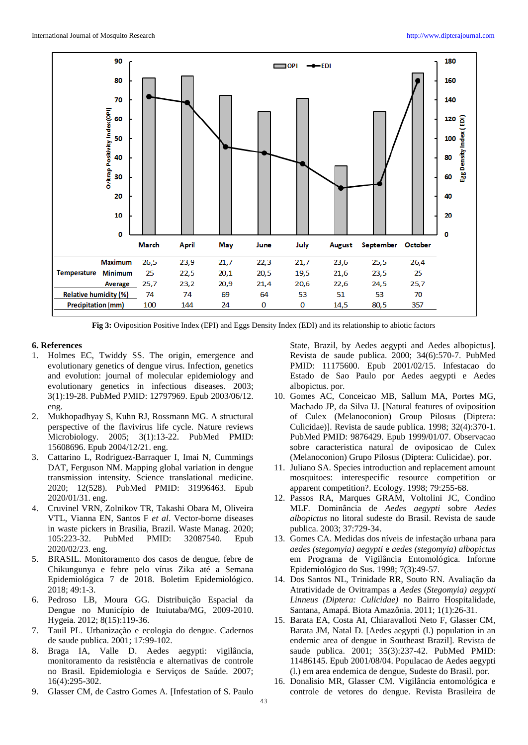

**Fig 3:** Oviposition Positive Index (EPI) and Eggs Density Index (EDI) and its relationship to abiotic factors

# **6. References**

- 1. Holmes EC, Twiddy SS. The origin, emergence and evolutionary genetics of dengue virus. Infection, genetics and evolution: journal of molecular epidemiology and evolutionary genetics in infectious diseases. 2003; 3(1):19-28. PubMed PMID: 12797969. Epub 2003/06/12. eng.
- 2. Mukhopadhyay S, Kuhn RJ, Rossmann MG. A structural perspective of the flavivirus life cycle. Nature reviews Microbiology. 2005; 3(1):13-22. PubMed PMID: 15608696. Epub 2004/12/21. eng.
- 3. Cattarino L, Rodriguez-Barraquer I, Imai N, Cummings DAT, Ferguson NM. Mapping global variation in dengue transmission intensity. Science translational medicine. 2020; 12(528). PubMed PMID: 31996463. Epub 2020/01/31. eng.
- 4. Cruvinel VRN, Zolnikov TR, Takashi Obara M, Oliveira VTL, Vianna EN, Santos F *et al*. Vector-borne diseases in waste pickers in Brasilia, Brazil. Waste Manag. 2020; 105:223-32. PubMed PMID: 32087540. Epub 2020/02/23. eng.
- 5. BRASIL. Monitoramento dos casos de dengue, febre de Chikungunya e febre pelo vírus Zika até a Semana Epidemiológica 7 de 2018. Boletim Epidemiológico. 2018; 49:1-3.
- 6. Pedroso LB, Moura GG. Distribuição Espacial da Dengue no Município de Ituiutaba/MG, 2009-2010. Hygeia. 2012; 8(15):119-36.
- 7. Tauil PL. Urbanização e ecologia do dengue. Cadernos de saude publica. 2001; 17:99-102.
- 8. Braga IA, Valle D. Aedes aegypti: vigilância, monitoramento da resistência e alternativas de controle no Brasil. Epidemiologia e Serviços de Saúde. 2007; 16(4):295-302.
- 9. Glasser CM, de Castro Gomes A. [Infestation of S. Paulo

State, Brazil, by Aedes aegypti and Aedes albopictus]. Revista de saude publica. 2000; 34(6):570-7. PubMed PMID: 11175600. Epub 2001/02/15. Infestacao do Estado de Sao Paulo por Aedes aegypti e Aedes albopictus. por.

- 10. Gomes AC, Conceicao MB, Sallum MA, Portes MG, Machado JP, da Silva IJ. [Natural features of oviposition of Culex (Melanoconion) Group Pilosus (Diptera: Culicidae)]. Revista de saude publica. 1998; 32(4):370-1. PubMed PMID: 9876429. Epub 1999/01/07. Observacao sobre caracteristica natural de oviposicao de Culex (Melanoconion) Grupo Pilosus (Diptera: Culicidae). por.
- 11. Juliano SA. Species introduction and replacement amount mosquitoes: interespecific resource competition or apparent competition?. Ecology. 1998; 79:255-68.
- 12. Passos RA, Marques GRAM, Voltolini JC, Condino MLF. Dominância de *Aedes aegypti* sobre *Aedes albopictus* no litoral sudeste do Brasil. Revista de saude publica. 2003; 37:729-34.
- 13. Gomes CA. Medidas dos níveis de infestação urbana para *aedes (stegomyia) aegypti* e *aedes (stegomyia) albopictus*  em Programa de Vigilância Entomológica. Informe Epidemiológico do Sus. 1998; 7(3):49-57.
- 14. Dos Santos NL, Trinidade RR, Souto RN. Avaliação da Atratividade de Ovitrampas a *Aedes* (*Stegomyia) aegypti Linneus (Diptera: Culicidae)* no Bairro Hospitalidade, Santana, Amapá. Biota Amazônia. 2011; 1(1):26-31.
- 15. Barata EA, Costa AI, Chiaravalloti Neto F, Glasser CM, Barata JM, Natal D. [Aedes aegypti (l.) population in an endemic area of dengue in Southeast Brazil]. Revista de saude publica. 2001; 35(3):237-42. PubMed PMID: 11486145. Epub 2001/08/04. Populacao de Aedes aegypti (l.) em area endemica de dengue, Sudeste do Brasil. por.
- 16. Donalisio MR, Glasser CM. Vigilância entomológica e controle de vetores do dengue. Revista Brasileira de